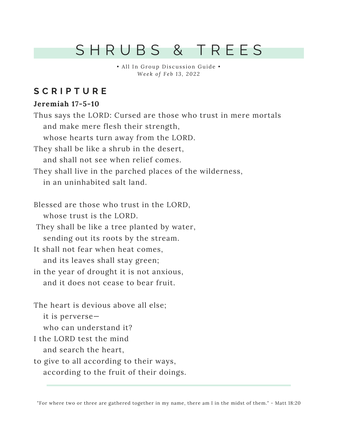## S H R U B S & T R E E S

• All In Group Discussion Guide • *We e k o f F e b 1 3 , 202 2*

### **S C R I P T U R E**

#### **Jeremiah 17-5-10**

Thus says the LORD: Cursed are those who trust in mere mortals and make mere flesh their strength, whose hearts turn away from the LORD. They shall be like a shrub in the desert, and shall not see when relief comes. They shall live in the parched places of the wilderness, in an uninhabited salt land. Blessed are those who trust in the LORD, whose trust is the LORD. They shall be like a tree planted by water, sending out its roots by the stream. It shall not fear when heat comes, and its leaves shall stay green; in the year of drought it is not anxious, and it does not cease to bear fruit. The heart is devious above all else; it is perverse who can understand it? I the LORD test the mind and search the heart, to give to all according to their ways, according to the fruit of their doings.

"For where two or three are gathered together in my name, there am I in the midst of them." - Matt 18:20